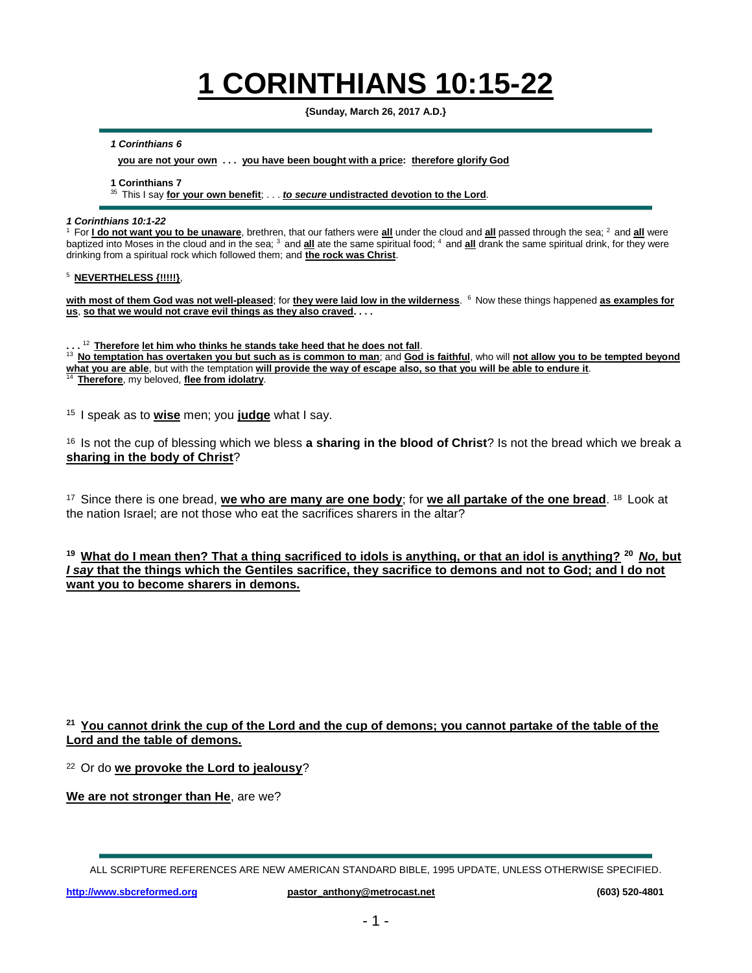# **1 CORINTHIANS 10:15-22**

**{Sunday, March 26, 2017 A.D.}**

*1 Corinthians 6*

**you are not your own . . . you have been bought with a price: therefore glorify God**

**1 Corinthians 7**

<sup>35</sup>This I say **for your own benefit**; . . . *to secure* **undistracted devotion to the Lord**.

#### *1 Corinthians 10:1-22*

For **I do not want you to be unaware**, brethren, that our fathers were all under the cloud and all passed through the sea; <sup>2</sup> and all were baptized into Moses in the cloud and in the sea; <sup>3</sup> and **all** ate the same spiritual food; <sup>4</sup> and **all** drank the same spiritual drink, for they were drinking from a spiritual rock which followed them; and **the rock was Christ**.

#### <sup>5</sup>**NEVERTHELESS {!!!!!}**,

with most of them God was not well-pleased; for they were laid low in the wilderness. <sup>6</sup> Now these things happened as examples for **us**, **so that we would not crave evil things as they also craved. . . .**

**. . .**  <sup>12</sup>**Therefore let him who thinks he stands take heed that he does not fall**.

<sup>13</sup>**No temptation has overtaken you but such as is common to man**; and **God is faithful**, who will **not allow you to be tempted beyond what you are able**, but with the temptation **will provide the way of escape also, so that you will be able to endure it**.

<sup>14</sup> Therefore, my beloved, flee from idolatry.

<sup>15</sup> I speak as to **wise** men; you **judge** what I say.

<sup>16</sup> Is not the cup of blessing which we bless **a sharing in the blood of Christ**? Is not the bread which we break a **sharing in the body of Christ**?

<sup>17</sup> Since there is one bread, we who are many are one body; for we all partake of the one bread. <sup>18</sup> Look at the nation Israel; are not those who eat the sacrifices sharers in the altar?

**<sup>19</sup>What do I mean then? That a thing sacrificed to idols is anything, or that an idol is anything? <sup>20</sup>***No,* **but**  *I say* **that the things which the Gentiles sacrifice, they sacrifice to demons and not to God; and I do not want you to become sharers in demons.**

### **<sup>21</sup>You cannot drink the cup of the Lord and the cup of demons; you cannot partake of the table of the Lord and the table of demons.**

<sup>22</sup>Or do **we provoke the Lord to jealousy**?

**We are not stronger than He**, are we?

ALL SCRIPTURE REFERENCES ARE NEW AMERICAN STANDARD BIBLE, 1995 UPDATE, UNLESS OTHERWISE SPECIFIED.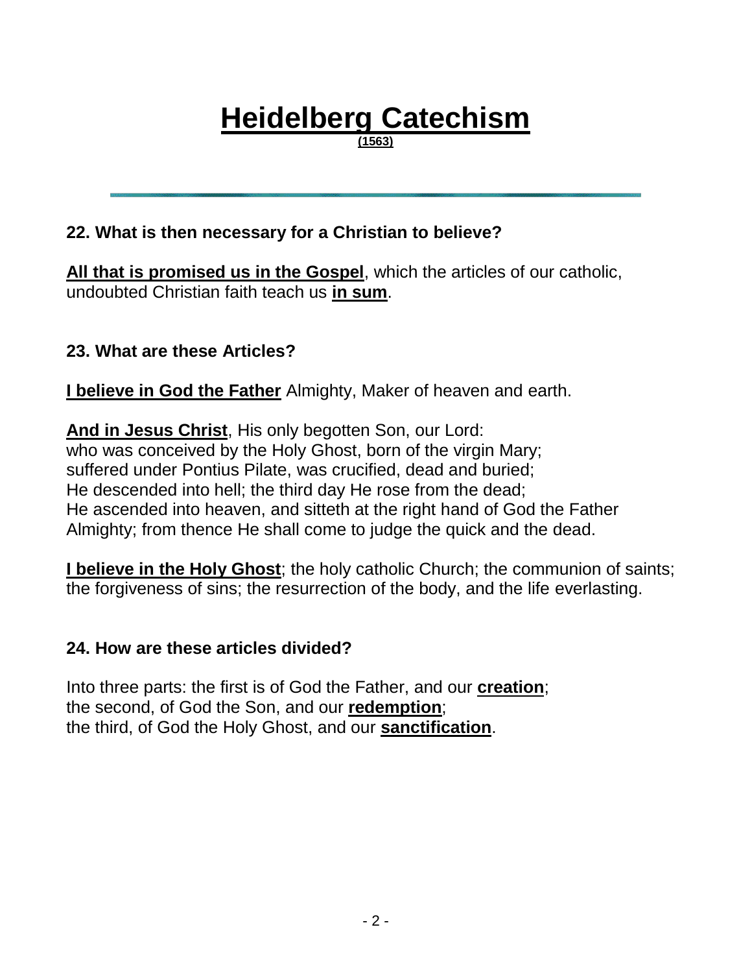# **Heidelberg Catechism**

**(1563)**

## **22. What is then necessary for a Christian to believe?**

**All that is promised us in the Gospel**, which the articles of our catholic, undoubted Christian faith teach us **in sum**.

## **23. What are these Articles?**

**I believe in God the Father** Almighty, Maker of heaven and earth.

**And in Jesus Christ**, His only begotten Son, our Lord: who was conceived by the Holy Ghost, born of the virgin Mary; suffered under Pontius Pilate, was crucified, dead and buried; He descended into hell; the third day He rose from the dead; He ascended into heaven, and sitteth at the right hand of God the Father Almighty; from thence He shall come to judge the quick and the dead.

**I believe in the Holy Ghost**; the holy catholic Church; the communion of saints; the forgiveness of sins; the resurrection of the body, and the life everlasting.

### **24. How are these articles divided?**

Into three parts: the first is of God the Father, and our **creation**; the second, of God the Son, and our **redemption**; the third, of God the Holy Ghost, and our **sanctification**.